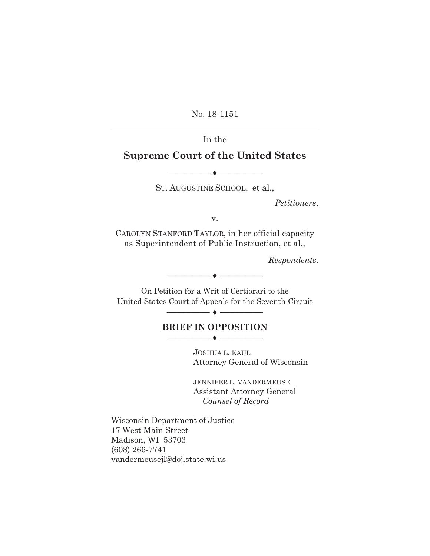No. 18-1151

 $\overline{a}$ 

## In the

# **Supreme Court of the United States**

ST. AUGUSTINE SCHOOL, et al.,

 $\bullet$   $-$ 

*Petitioners*,

v.

CAROLYN STANFORD TAYLOR, in her official capacity as Superintendent of Public Instruction, et al.,

*Respondents*.

On Petition for a Writ of Certiorari to the United States Court of Appeals for the Seventh Circuit

i

 $\overline{\phantom{iiiiiiiiiiiiiii}}$ 

#### **BRIEF IN OPPOSITION**  i

JOSHUA L. KAUL Attorney General of Wisconsin

JENNIFER L. VANDERMEUSE Assistant Attorney General *Counsel of Record* 

Wisconsin Department of Justice 17 West Main Street Madison, WI 53703 (608) 266-7741 vandermeusejl@doj.state.wi.us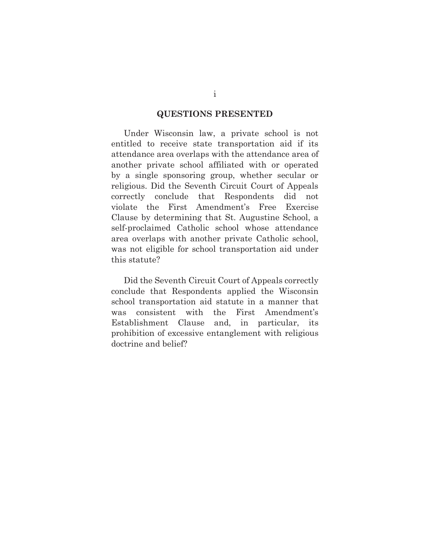#### **QUESTIONS PRESENTED**

 Under Wisconsin law, a private school is not entitled to receive state transportation aid if its attendance area overlaps with the attendance area of another private school affiliated with or operated by a single sponsoring group, whether secular or religious. Did the Seventh Circuit Court of Appeals correctly conclude that Respondents did not violate the First Amendment's Free Exercise Clause by determining that St. Augustine School, a self-proclaimed Catholic school whose attendance area overlaps with another private Catholic school, was not eligible for school transportation aid under this statute?

 Did the Seventh Circuit Court of Appeals correctly conclude that Respondents applied the Wisconsin school transportation aid statute in a manner that was consistent with the First Amendment's Establishment Clause and, in particular, its prohibition of excessive entanglement with religious doctrine and belief?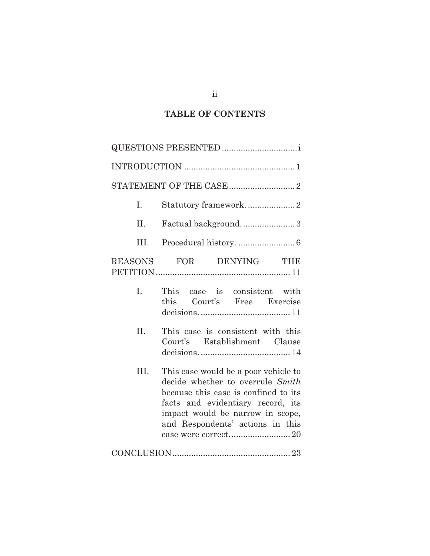# **TABLE OF CONTENTS**

| Ι.   | Statutory framework2                                                                                                                                                                                                          |  |
|------|-------------------------------------------------------------------------------------------------------------------------------------------------------------------------------------------------------------------------------|--|
| II.  | Factual background3                                                                                                                                                                                                           |  |
| III. |                                                                                                                                                                                                                               |  |
|      | REASONS FOR DENYING THE                                                                                                                                                                                                       |  |
| I.   | This case is consistent with<br>this Court's Free Exercise                                                                                                                                                                    |  |
| II.  | This case is consistent with this<br>Court's Establishment Clause                                                                                                                                                             |  |
| III. | This case would be a poor vehicle to<br>decide whether to overrule Smith<br>because this case is confined to its<br>facts and evidentiary record, its<br>impact would be narrow in scope,<br>and Respondents' actions in this |  |
|      | $\textbf{CONCLUSION}.\textcolor{red}{\textbf{23}}$                                                                                                                                                                            |  |

ii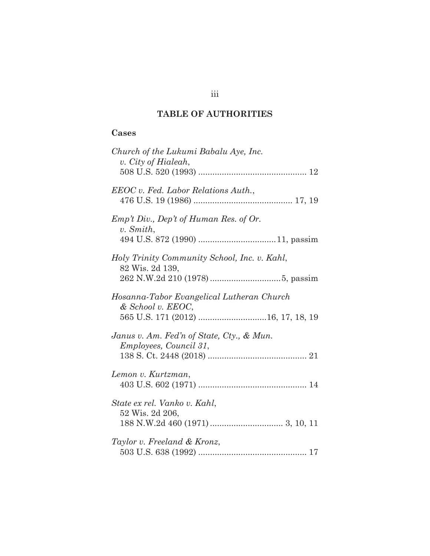# **TABLE OF AUTHORITIES**

## **Cases**

| Church of the Lukumi Babalu Aye, Inc.<br>v. City of Hialeah,               |
|----------------------------------------------------------------------------|
| EEOC v. Fed. Labor Relations Auth.,                                        |
| Emp't Div, Dep't of Human Res. of Or.<br>v. Smith,                         |
| Holy Trinity Community School, Inc. v. Kahl,<br>82 Wis. 2d 139,            |
| Hosanna-Tabor Evangelical Lutheran Church<br>& School v. EEOC,             |
| Janus v. Am. Fed'n of State, Cty., & Mun.<br><i>Employees, Council 31,</i> |
| Lemon v. Kurtzman,                                                         |
| State ex rel. Vanko v. Kahl,<br>52 Wis. 2d 206,                            |
| Taylor v. Freeland & Kronz,                                                |

iii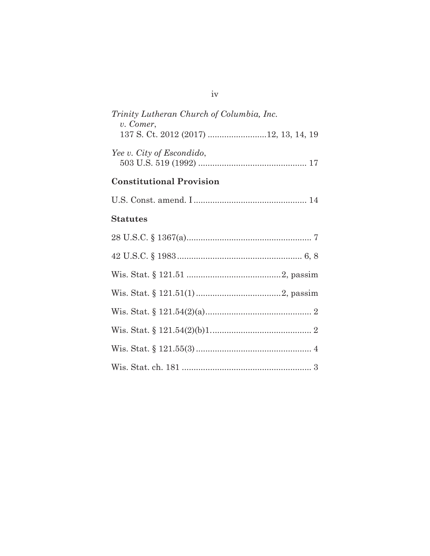| Trinity Lutheran Church of Columbia, Inc.<br>v. Comer, |
|--------------------------------------------------------|
| 137 S. Ct. 2012 (2017) 12, 13, 14, 19                  |
| Yee v. City of Escondido,                              |
| <b>Constitutional Provision</b>                        |
|                                                        |
| <b>Statutes</b>                                        |
|                                                        |
|                                                        |
|                                                        |
|                                                        |
|                                                        |
|                                                        |
|                                                        |
|                                                        |

# iv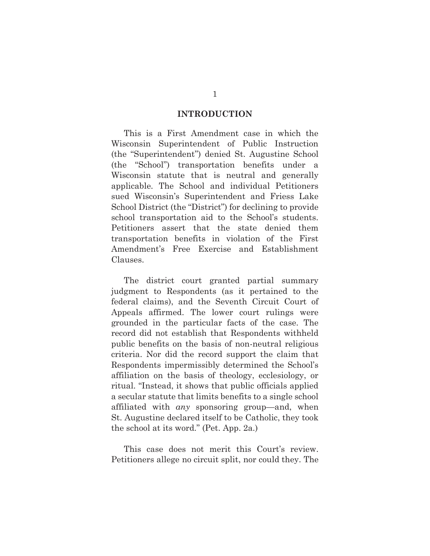#### **INTRODUCTION**

 This is a First Amendment case in which the Wisconsin Superintendent of Public Instruction (the "Superintendent") denied St. Augustine School (the "School") transportation benefits under a Wisconsin statute that is neutral and generally applicable. The School and individual Petitioners sued Wisconsin's Superintendent and Friess Lake School District (the "District") for declining to provide school transportation aid to the School's students. Petitioners assert that the state denied them transportation benefits in violation of the First Amendment's Free Exercise and Establishment Clauses.

 The district court granted partial summary judgment to Respondents (as it pertained to the federal claims), and the Seventh Circuit Court of Appeals affirmed. The lower court rulings were grounded in the particular facts of the case. The record did not establish that Respondents withheld public benefits on the basis of non-neutral religious criteria. Nor did the record support the claim that Respondents impermissibly determined the School's affiliation on the basis of theology, ecclesiology, or ritual. "Instead, it shows that public officials applied a secular statute that limits benefits to a single school affiliated with *any* sponsoring group—and, when St. Augustine declared itself to be Catholic, they took the school at its word." (Pet. App. 2a.)

 This case does not merit this Court's review. Petitioners allege no circuit split, nor could they. The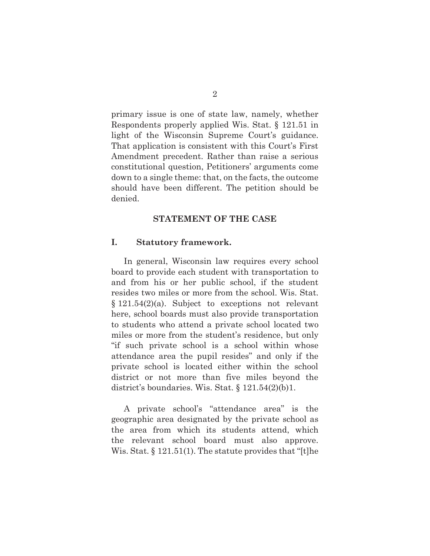primary issue is one of state law, namely, whether Respondents properly applied Wis. Stat. § 121.51 in light of the Wisconsin Supreme Court's guidance. That application is consistent with this Court's First Amendment precedent. Rather than raise a serious constitutional question, Petitioners' arguments come down to a single theme: that, on the facts, the outcome should have been different. The petition should be denied.

#### **STATEMENT OF THE CASE**

#### **I. Statutory framework.**

 In general, Wisconsin law requires every school board to provide each student with transportation to and from his or her public school, if the student resides two miles or more from the school. Wis. Stat. § 121.54(2)(a). Subject to exceptions not relevant here, school boards must also provide transportation to students who attend a private school located two miles or more from the student's residence, but only "if such private school is a school within whose attendance area the pupil resides" and only if the private school is located either within the school district or not more than five miles beyond the district's boundaries. Wis. Stat.  $\S 121.54(2)(b)1$ .

 A private school's "attendance area" is the geographic area designated by the private school as the area from which its students attend, which the relevant school board must also approve. Wis. Stat. § 121.51(1). The statute provides that "[t]he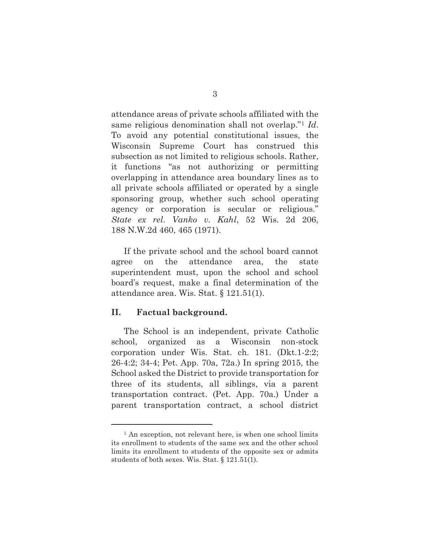attendance areas of private schools affiliated with the same religious denomination shall not overlap."1 *Id*. To avoid any potential constitutional issues, the Wisconsin Supreme Court has construed this subsection as not limited to religious schools. Rather, it functions "as not authorizing or permitting overlapping in attendance area boundary lines as to all private schools affiliated or operated by a single sponsoring group, whether such school operating agency or corporation is secular or religious." *State ex rel. Vanko v. Kahl*, 52 Wis. 2d 206, 188 N.W.2d 460, 465 (1971).

 If the private school and the school board cannot agree on the attendance area, the state superintendent must, upon the school and school board's request, make a final determination of the attendance area. Wis. Stat. § 121.51(1).

#### **II. Factual background.**

l

 The School is an independent, private Catholic school, organized as a Wisconsin non-stock corporation under Wis. Stat. ch. 181. (Dkt.1-2:2; 26-4:2; 34-4; Pet. App. 70a, 72a.) In spring 2015, the School asked the District to provide transportation for three of its students, all siblings, via a parent transportation contract. (Pet. App. 70a.) Under a parent transportation contract, a school district

<sup>&</sup>lt;sup>1</sup> An exception, not relevant here, is when one school limits its enrollment to students of the same sex and the other school limits its enrollment to students of the opposite sex or admits students of both sexes. Wis. Stat. § 121.51(1).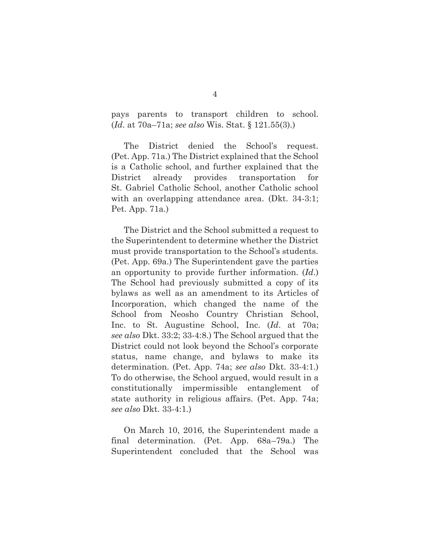pays parents to transport children to school. (*Id*. at 70a–71a; *see also* Wis. Stat. § 121.55(3).)

 The District denied the School's request. (Pet. App. 71a.) The District explained that the School is a Catholic school, and further explained that the District already provides transportation for St. Gabriel Catholic School, another Catholic school with an overlapping attendance area. (Dkt. 34-3:1; Pet. App. 71a.)

 The District and the School submitted a request to the Superintendent to determine whether the District must provide transportation to the School's students. (Pet. App. 69a.) The Superintendent gave the parties an opportunity to provide further information. (*Id*.) The School had previously submitted a copy of its bylaws as well as an amendment to its Articles of Incorporation, which changed the name of the School from Neosho Country Christian School, Inc. to St. Augustine School, Inc. (*Id*. at 70a; *see also* Dkt. 33:2; 33-4:8.) The School argued that the District could not look beyond the School's corporate status, name change, and bylaws to make its determination. (Pet. App. 74a; *see also* Dkt. 33-4:1.) To do otherwise, the School argued, would result in a constitutionally impermissible entanglement of state authority in religious affairs. (Pet. App. 74a; *see also* Dkt. 33-4:1.)

 On March 10, 2016, the Superintendent made a final determination. (Pet. App. 68a–79a.) The Superintendent concluded that the School was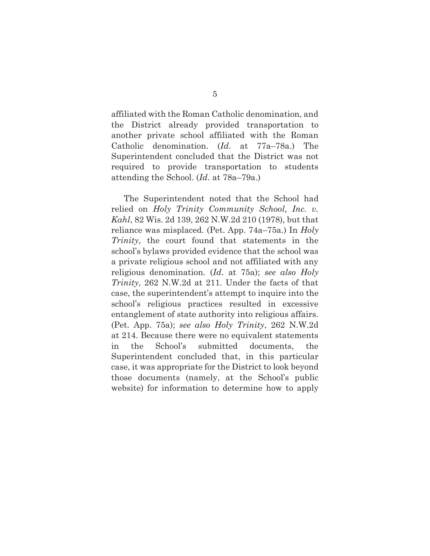affiliated with the Roman Catholic denomination, and the District already provided transportation to another private school affiliated with the Roman Catholic denomination. (*Id*. at 77a–78a.) The Superintendent concluded that the District was not required to provide transportation to students attending the School. (*Id*. at 78a–79a.)

 The Superintendent noted that the School had relied on *Holy Trinity Community School, Inc. v. Kahl*, 82 Wis. 2d 139, 262 N.W.2d 210 (1978), but that reliance was misplaced. (Pet. App. 74a–75a.) In *Holy Trinity*, the court found that statements in the school's bylaws provided evidence that the school was a private religious school and not affiliated with any religious denomination. (*Id*. at 75a); *see also Holy Trinity*, 262 N.W.2d at 211. Under the facts of that case, the superintendent's attempt to inquire into the school's religious practices resulted in excessive entanglement of state authority into religious affairs. (Pet. App. 75a); *see also Holy Trinity*, 262 N.W.2d at 214. Because there were no equivalent statements in the School's submitted documents, the Superintendent concluded that, in this particular case, it was appropriate for the District to look beyond those documents (namely, at the School's public website) for information to determine how to apply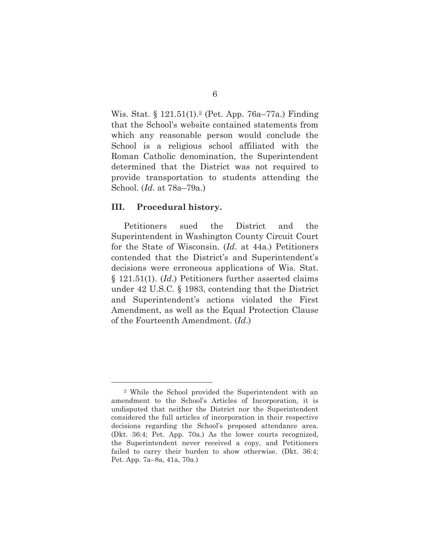Wis. Stat. § 121.51(1).<sup>2</sup> (Pet. App. 76a–77a.) Finding that the School's website contained statements from which any reasonable person would conclude the School is a religious school affiliated with the Roman Catholic denomination, the Superintendent determined that the District was not required to provide transportation to students attending the School. (*Id*. at 78a–79a.)

#### **III. Procedural history.**

l

 Petitioners sued the District and the Superintendent in Washington County Circuit Court for the State of Wisconsin. (*Id*. at 44a.) Petitioners contended that the District's and Superintendent's decisions were erroneous applications of Wis. Stat. § 121.51(1). (*Id*.) Petitioners further asserted claims under 42 U.S.C. § 1983, contending that the District and Superintendent's actions violated the First Amendment, as well as the Equal Protection Clause of the Fourteenth Amendment. (*Id*.)

<sup>2</sup> While the School provided the Superintendent with an amendment to the School's Articles of Incorporation, it is undisputed that neither the District nor the Superintendent considered the full articles of incorporation in their respective decisions regarding the School's proposed attendance area. (Dkt. 36:4; Pet. App. 70a.) As the lower courts recognized, the Superintendent never received a copy, and Petitioners failed to carry their burden to show otherwise. (Dkt. 36:4; Pet. App. 7a–8a, 41a, 70a.)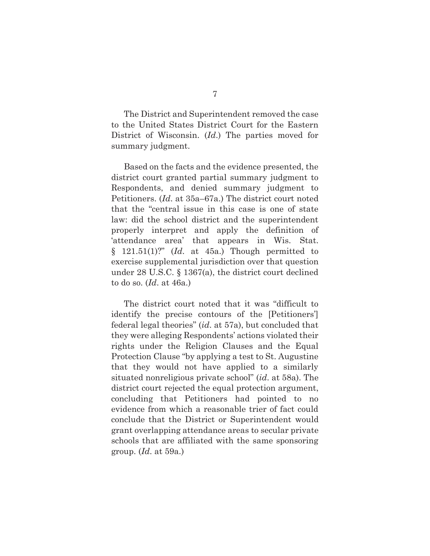The District and Superintendent removed the case to the United States District Court for the Eastern District of Wisconsin. (*Id*.) The parties moved for summary judgment.

 Based on the facts and the evidence presented, the district court granted partial summary judgment to Respondents, and denied summary judgment to Petitioners. (*Id*. at 35a–67a.) The district court noted that the "central issue in this case is one of state law: did the school district and the superintendent properly interpret and apply the definition of 'attendance area' that appears in Wis. Stat.  $§$  121.51(1)?" (*Id.* at 45a.) Though permitted to exercise supplemental jurisdiction over that question under 28 U.S.C. § 1367(a), the district court declined to do so. (*Id*. at 46a.)

 The district court noted that it was "difficult to identify the precise contours of the [Petitioners'] federal legal theories" (*id*. at 57a), but concluded that they were alleging Respondents' actions violated their rights under the Religion Clauses and the Equal Protection Clause "by applying a test to St. Augustine that they would not have applied to a similarly situated nonreligious private school" (*id*. at 58a). The district court rejected the equal protection argument, concluding that Petitioners had pointed to no evidence from which a reasonable trier of fact could conclude that the District or Superintendent would grant overlapping attendance areas to secular private schools that are affiliated with the same sponsoring group. (*Id*. at 59a.)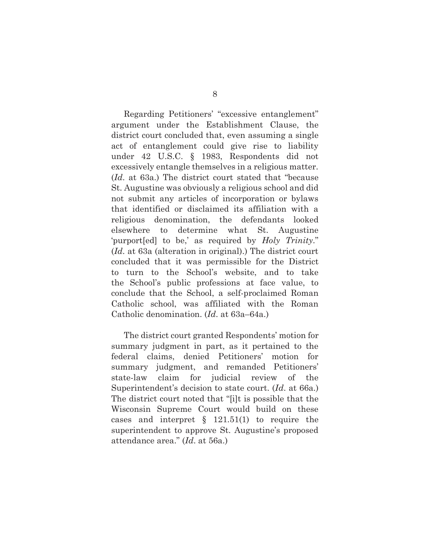Regarding Petitioners' "excessive entanglement" argument under the Establishment Clause, the district court concluded that, even assuming a single act of entanglement could give rise to liability under 42 U.S.C. § 1983, Respondents did not excessively entangle themselves in a religious matter. (*Id*. at 63a.) The district court stated that "because St. Augustine was obviously a religious school and did not submit any articles of incorporation or bylaws that identified or disclaimed its affiliation with a religious denomination, the defendants looked elsewhere to determine what St. Augustine 'purport[ed] to be,' as required by *Holy Trinity*." (*Id*. at 63a (alteration in original).) The district court concluded that it was permissible for the District to turn to the School's website, and to take the School's public professions at face value, to conclude that the School, a self-proclaimed Roman Catholic school, was affiliated with the Roman Catholic denomination. (*Id*. at 63a–64a.)

 The district court granted Respondents' motion for summary judgment in part, as it pertained to the federal claims, denied Petitioners' motion for summary judgment, and remanded Petitioners' state-law claim for judicial review of the Superintendent's decision to state court. (*Id*. at 66a.) The district court noted that "[i]t is possible that the Wisconsin Supreme Court would build on these cases and interpret § 121.51(1) to require the superintendent to approve St. Augustine's proposed attendance area." (*Id*. at 56a.)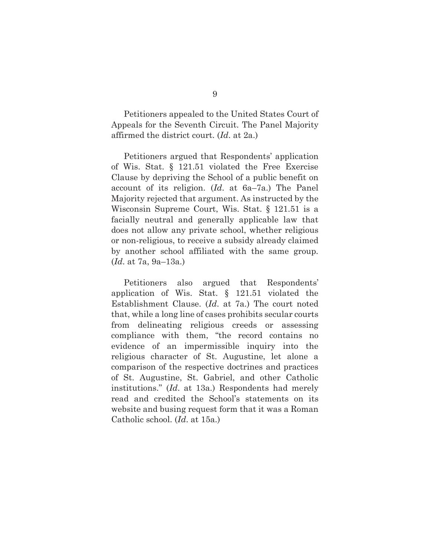Petitioners appealed to the United States Court of Appeals for the Seventh Circuit. The Panel Majority affirmed the district court. (*Id*. at 2a.)

 Petitioners argued that Respondents' application of Wis. Stat. § 121.51 violated the Free Exercise Clause by depriving the School of a public benefit on account of its religion. (*Id*. at 6a–7a.) The Panel Majority rejected that argument. As instructed by the Wisconsin Supreme Court, Wis. Stat. § 121.51 is a facially neutral and generally applicable law that does not allow any private school, whether religious or non-religious, to receive a subsidy already claimed by another school affiliated with the same group. (*Id*. at 7a, 9a–13a.)

 Petitioners also argued that Respondents' application of Wis. Stat. § 121.51 violated the Establishment Clause. (*Id*. at 7a.) The court noted that, while a long line of cases prohibits secular courts from delineating religious creeds or assessing compliance with them, "the record contains no evidence of an impermissible inquiry into the religious character of St. Augustine, let alone a comparison of the respective doctrines and practices of St. Augustine, St. Gabriel, and other Catholic institutions." (*Id*. at 13a.) Respondents had merely read and credited the School's statements on its website and busing request form that it was a Roman Catholic school. (*Id*. at 15a.)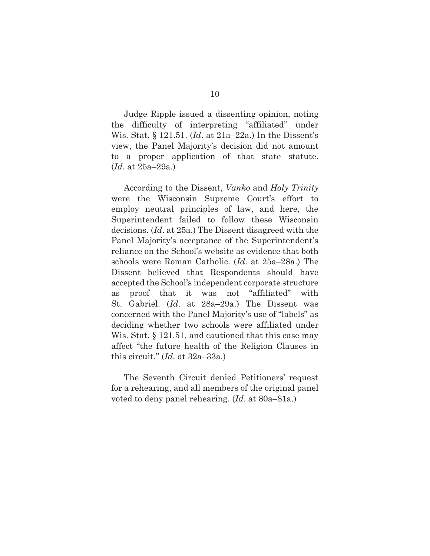Judge Ripple issued a dissenting opinion, noting the difficulty of interpreting "affiliated" under Wis. Stat. § 121.51. (*Id*. at 21a–22a.) In the Dissent's view, the Panel Majority's decision did not amount to a proper application of that state statute. (*Id*. at 25a–29a.)

 According to the Dissent, *Vanko* and *Holy Trinity* were the Wisconsin Supreme Court's effort to employ neutral principles of law, and here, the Superintendent failed to follow these Wisconsin decisions. (*Id*. at 25a.) The Dissent disagreed with the Panel Majority's acceptance of the Superintendent's reliance on the School's website as evidence that both schools were Roman Catholic. (*Id*. at 25a–28a.) The Dissent believed that Respondents should have accepted the School's independent corporate structure as proof that it was not "affiliated" with St. Gabriel. (*Id*. at 28a–29a.) The Dissent was concerned with the Panel Majority's use of "labels" as deciding whether two schools were affiliated under Wis. Stat. § 121.51, and cautioned that this case may affect "the future health of the Religion Clauses in this circuit." (*Id*. at 32a–33a.)

 The Seventh Circuit denied Petitioners' request for a rehearing, and all members of the original panel voted to deny panel rehearing. (*Id*. at 80a–81a.)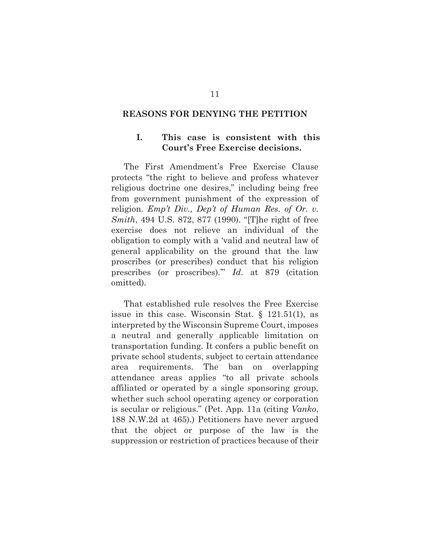#### **REASONS FOR DENYING THE PETITION**

## **I. This case is consistent with this Court's Free Exercise decisions.**

 The First Amendment's Free Exercise Clause protects "the right to believe and profess whatever religious doctrine one desires," including being free from government punishment of the expression of religion. *Emp't Div., Dep't of Human Res. of Or. v. Smith*, 494 U.S. 872, 877 (1990). "[T]he right of free exercise does not relieve an individual of the obligation to comply with a 'valid and neutral law of general applicability on the ground that the law proscribes (or prescribes) conduct that his religion prescribes (or proscribes).'" *Id*. at 879 (citation omitted).

 That established rule resolves the Free Exercise issue in this case. Wisconsin Stat. § 121.51(1), as interpreted by the Wisconsin Supreme Court, imposes a neutral and generally applicable limitation on transportation funding. It confers a public benefit on private school students, subject to certain attendance area requirements. The ban on overlapping attendance areas applies "to all private schools affiliated or operated by a single sponsoring group, whether such school operating agency or corporation is secular or religious." (Pet. App. 11a (citing *Vanko*, 188 N.W.2d at 465).) Petitioners have never argued that the object or purpose of the law is the suppression or restriction of practices because of their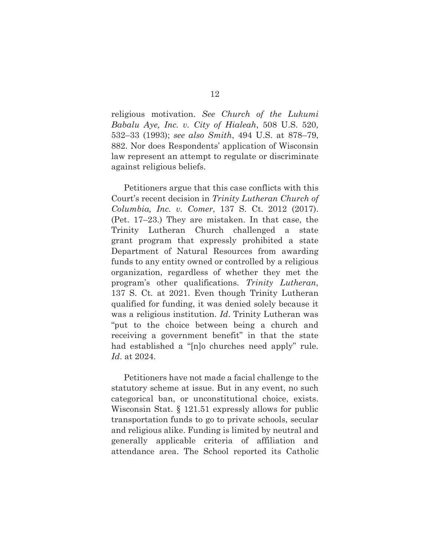religious motivation. *See Church of the Lukumi Babalu Aye, Inc. v. City of Hialeah*, 508 U.S. 520, 532–33 (1993); *see also Smith*, 494 U.S. at 878–79, 882. Nor does Respondents' application of Wisconsin law represent an attempt to regulate or discriminate against religious beliefs.

 Petitioners argue that this case conflicts with this Court's recent decision in *Trinity Lutheran Church of Columbia, Inc. v. Comer*, 137 S. Ct. 2012 (2017). (Pet. 17–23.) They are mistaken. In that case, the Trinity Lutheran Church challenged a state grant program that expressly prohibited a state Department of Natural Resources from awarding funds to any entity owned or controlled by a religious organization, regardless of whether they met the program's other qualifications. *Trinity Lutheran*, 137 S. Ct. at 2021. Even though Trinity Lutheran qualified for funding, it was denied solely because it was a religious institution. *Id*. Trinity Lutheran was "put to the choice between being a church and receiving a government benefit" in that the state had established a "[n]o churches need apply" rule. *Id*. at 2024.

 Petitioners have not made a facial challenge to the statutory scheme at issue. But in any event, no such categorical ban, or unconstitutional choice, exists. Wisconsin Stat. § 121.51 expressly allows for public transportation funds to go to private schools, secular and religious alike. Funding is limited by neutral and generally applicable criteria of affiliation and attendance area. The School reported its Catholic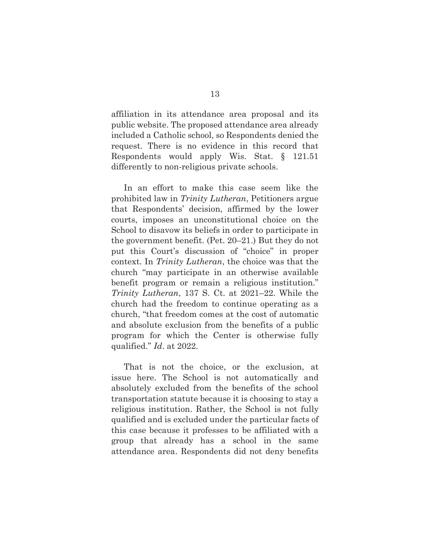affiliation in its attendance area proposal and its public website. The proposed attendance area already included a Catholic school, so Respondents denied the request. There is no evidence in this record that Respondents would apply Wis. Stat. § 121.51 differently to non-religious private schools.

 In an effort to make this case seem like the prohibited law in *Trinity Lutheran*, Petitioners argue that Respondents' decision, affirmed by the lower courts, imposes an unconstitutional choice on the School to disavow its beliefs in order to participate in the government benefit. (Pet. 20–21.) But they do not put this Court's discussion of "choice" in proper context. In *Trinity Lutheran*, the choice was that the church "may participate in an otherwise available benefit program or remain a religious institution." *Trinity Lutheran*, 137 S. Ct. at 2021–22. While the church had the freedom to continue operating as a church, "that freedom comes at the cost of automatic and absolute exclusion from the benefits of a public program for which the Center is otherwise fully qualified." *Id*. at 2022.

 That is not the choice, or the exclusion, at issue here. The School is not automatically and absolutely excluded from the benefits of the school transportation statute because it is choosing to stay a religious institution. Rather, the School is not fully qualified and is excluded under the particular facts of this case because it professes to be affiliated with a group that already has a school in the same attendance area. Respondents did not deny benefits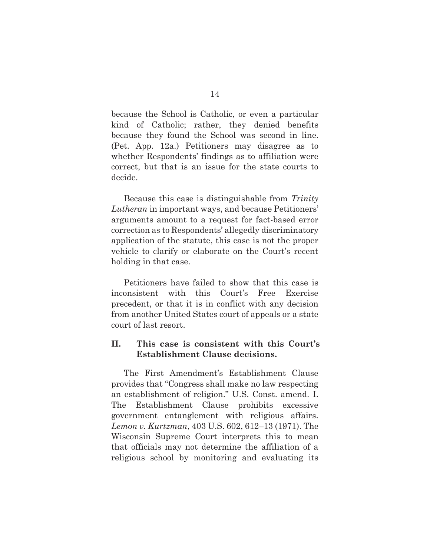because the School is Catholic, or even a particular kind of Catholic; rather, they denied benefits because they found the School was second in line. (Pet. App. 12a.) Petitioners may disagree as to whether Respondents' findings as to affiliation were correct, but that is an issue for the state courts to decide.

 Because this case is distinguishable from *Trinity Lutheran* in important ways, and because Petitioners' arguments amount to a request for fact-based error correction as to Respondents' allegedly discriminatory application of the statute, this case is not the proper vehicle to clarify or elaborate on the Court's recent holding in that case.

 Petitioners have failed to show that this case is inconsistent with this Court's Free Exercise precedent, or that it is in conflict with any decision from another United States court of appeals or a state court of last resort.

## **II. This case is consistent with this Court's Establishment Clause decisions.**

 The First Amendment's Establishment Clause provides that "Congress shall make no law respecting an establishment of religion." U.S. Const. amend. I. The Establishment Clause prohibits excessive government entanglement with religious affairs. *Lemon v. Kurtzman*, 403 U.S. 602, 612–13 (1971). The Wisconsin Supreme Court interprets this to mean that officials may not determine the affiliation of a religious school by monitoring and evaluating its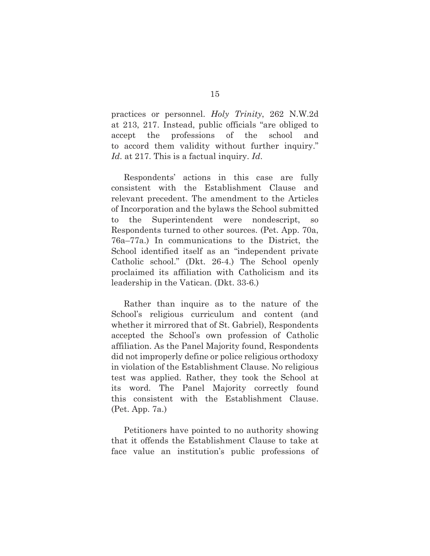practices or personnel. *Holy Trinity*, 262 N.W.2d at 213, 217. Instead, public officials "are obliged to accept the professions of the school and to accord them validity without further inquiry." *Id*. at 217. This is a factual inquiry. *Id*.

 Respondents' actions in this case are fully consistent with the Establishment Clause and relevant precedent. The amendment to the Articles of Incorporation and the bylaws the School submitted to the Superintendent were nondescript, so Respondents turned to other sources. (Pet. App. 70a, 76a–77a.) In communications to the District, the School identified itself as an "independent private Catholic school." (Dkt. 26-4.) The School openly proclaimed its affiliation with Catholicism and its leadership in the Vatican. (Dkt. 33-6.)

 Rather than inquire as to the nature of the School's religious curriculum and content (and whether it mirrored that of St. Gabriel), Respondents accepted the School's own profession of Catholic affiliation. As the Panel Majority found, Respondents did not improperly define or police religious orthodoxy in violation of the Establishment Clause. No religious test was applied. Rather, they took the School at its word. The Panel Majority correctly found this consistent with the Establishment Clause. (Pet. App. 7a.)

 Petitioners have pointed to no authority showing that it offends the Establishment Clause to take at face value an institution's public professions of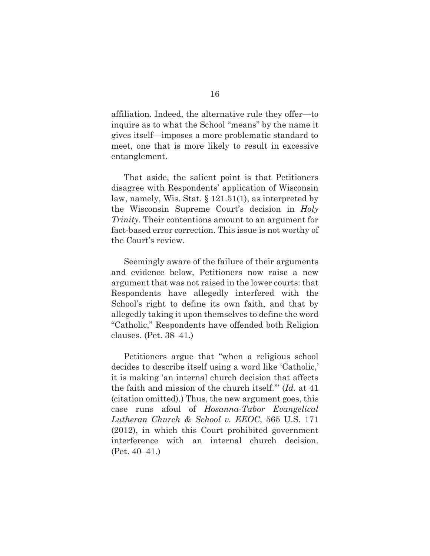affiliation. Indeed, the alternative rule they offer—to inquire as to what the School "means" by the name it gives itself—imposes a more problematic standard to meet, one that is more likely to result in excessive entanglement.

 That aside, the salient point is that Petitioners disagree with Respondents' application of Wisconsin law, namely, Wis. Stat. § 121.51(1), as interpreted by the Wisconsin Supreme Court's decision in *Holy Trinity*. Their contentions amount to an argument for fact-based error correction. This issue is not worthy of the Court's review.

 Seemingly aware of the failure of their arguments and evidence below, Petitioners now raise a new argument that was not raised in the lower courts: that Respondents have allegedly interfered with the School's right to define its own faith, and that by allegedly taking it upon themselves to define the word "Catholic," Respondents have offended both Religion clauses. (Pet. 38–41.)

 Petitioners argue that "when a religious school decides to describe itself using a word like 'Catholic,' it is making 'an internal church decision that affects the faith and mission of the church itself.'" (*Id.* at 41 (citation omitted).) Thus, the new argument goes, this case runs afoul of *Hosanna-Tabor Evangelical Lutheran Church & School v. EEOC*, 565 U.S. 171 (2012), in which this Court prohibited government interference with an internal church decision. (Pet. 40–41.)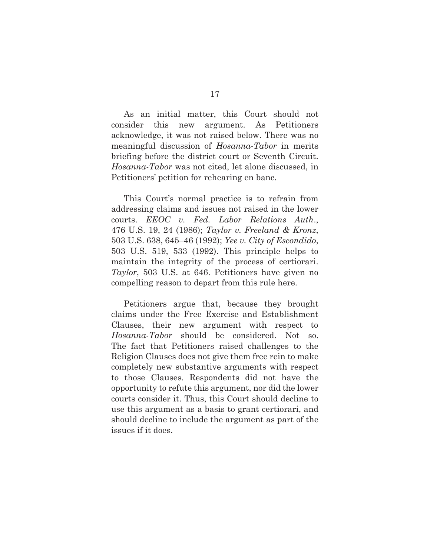As an initial matter, this Court should not consider this new argument. As Petitioners acknowledge, it was not raised below. There was no meaningful discussion of *Hosanna-Tabor* in merits briefing before the district court or Seventh Circuit. *Hosanna-Tabor* was not cited, let alone discussed, in Petitioners' petition for rehearing en banc.

 This Court's normal practice is to refrain from addressing claims and issues not raised in the lower courts. *EEOC v. Fed. Labor Relations Auth*., 476 U.S. 19, 24 (1986); *Taylor v. Freeland & Kronz*, 503 U.S. 638, 645–46 (1992); *Yee v. City of Escondido*, 503 U.S. 519, 533 (1992). This principle helps to maintain the integrity of the process of certiorari. *Taylor*, 503 U.S. at 646. Petitioners have given no compelling reason to depart from this rule here.

 Petitioners argue that, because they brought claims under the Free Exercise and Establishment Clauses, their new argument with respect to *Hosanna-Tabor* should be considered. Not so. The fact that Petitioners raised challenges to the Religion Clauses does not give them free rein to make completely new substantive arguments with respect to those Clauses. Respondents did not have the opportunity to refute this argument, nor did the lower courts consider it. Thus, this Court should decline to use this argument as a basis to grant certiorari, and should decline to include the argument as part of the issues if it does.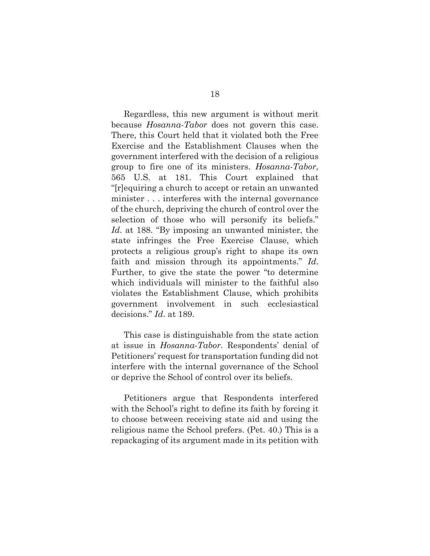Regardless, this new argument is without merit because *Hosanna-Tabor* does not govern this case. There, this Court held that it violated both the Free Exercise and the Establishment Clauses when the government interfered with the decision of a religious group to fire one of its ministers. *Hosanna-Tabor*, 565 U.S. at 181. This Court explained that "[r]equiring a church to accept or retain an unwanted minister . . . interferes with the internal governance of the church, depriving the church of control over the selection of those who will personify its beliefs." *Id*. at 188. "By imposing an unwanted minister, the state infringes the Free Exercise Clause, which protects a religious group's right to shape its own faith and mission through its appointments." *Id*. Further, to give the state the power "to determine which individuals will minister to the faithful also violates the Establishment Clause, which prohibits government involvement in such ecclesiastical decisions." *Id*. at 189.

 This case is distinguishable from the state action at issue in *Hosanna-Tabor*. Respondents' denial of Petitioners' request for transportation funding did not interfere with the internal governance of the School or deprive the School of control over its beliefs.

 Petitioners argue that Respondents interfered with the School's right to define its faith by forcing it to choose between receiving state aid and using the religious name the School prefers. (Pet. 40.) This is a repackaging of its argument made in its petition with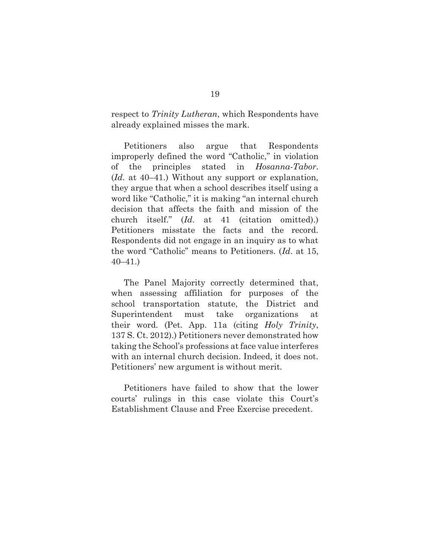respect to *Trinity Lutheran*, which Respondents have already explained misses the mark.

 Petitioners also argue that Respondents improperly defined the word "Catholic," in violation of the principles stated in *Hosanna-Tabor*. (*Id*. at 40–41.) Without any support or explanation, they argue that when a school describes itself using a word like "Catholic," it is making "an internal church decision that affects the faith and mission of the church itself." (*Id*. at 41 (citation omitted).) Petitioners misstate the facts and the record. Respondents did not engage in an inquiry as to what the word "Catholic" means to Petitioners. (*Id*. at 15, 40–41.)

 The Panel Majority correctly determined that, when assessing affiliation for purposes of the school transportation statute, the District and Superintendent must take organizations at their word. (Pet. App. 11a (citing *Holy Trinity*, 137 S. Ct. 2012).) Petitioners never demonstrated how taking the School's professions at face value interferes with an internal church decision. Indeed, it does not. Petitioners' new argument is without merit.

 Petitioners have failed to show that the lower courts' rulings in this case violate this Court's Establishment Clause and Free Exercise precedent.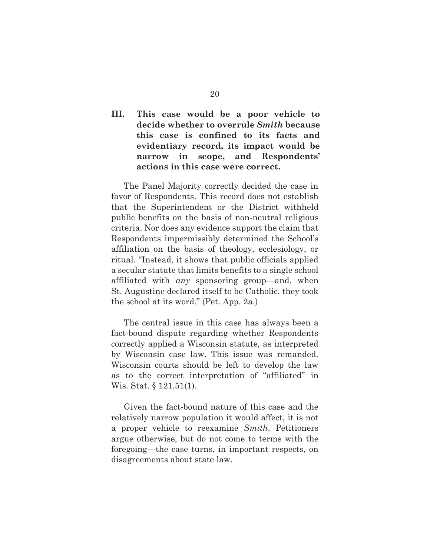## **III. This case would be a poor vehicle to decide whether to overrule** *Smith* **because this case is confined to its facts and evidentiary record, its impact would be narrow in scope, and Respondents' actions in this case were correct.**

 The Panel Majority correctly decided the case in favor of Respondents. This record does not establish that the Superintendent or the District withheld public benefits on the basis of non-neutral religious criteria. Nor does any evidence support the claim that Respondents impermissibly determined the School's affiliation on the basis of theology, ecclesiology, or ritual. "Instead, it shows that public officials applied a secular statute that limits benefits to a single school affiliated with *any* sponsoring group—and, when St. Augustine declared itself to be Catholic, they took the school at its word." (Pet. App. 2a.)

 The central issue in this case has always been a fact-bound dispute regarding whether Respondents correctly applied a Wisconsin statute, as interpreted by Wisconsin case law. This issue was remanded. Wisconsin courts should be left to develop the law as to the correct interpretation of "affiliated" in Wis. Stat. § 121.51(1).

 Given the fact-bound nature of this case and the relatively narrow population it would affect, it is not a proper vehicle to reexamine *Smith*. Petitioners argue otherwise, but do not come to terms with the foregoing—the case turns, in important respects, on disagreements about state law.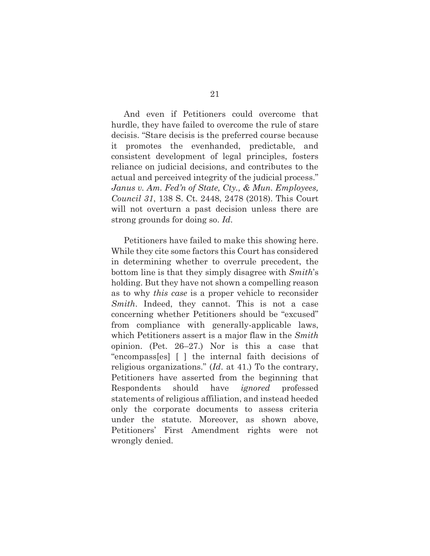And even if Petitioners could overcome that hurdle, they have failed to overcome the rule of stare decisis. "Stare decisis is the preferred course because it promotes the evenhanded, predictable, and consistent development of legal principles, fosters reliance on judicial decisions, and contributes to the actual and perceived integrity of the judicial process." *Janus v. Am. Fed'n of State, Cty., & Mun. Employees, Council 31*, 138 S. Ct. 2448, 2478 (2018). This Court will not overturn a past decision unless there are strong grounds for doing so. *Id*.

 Petitioners have failed to make this showing here. While they cite some factors this Court has considered in determining whether to overrule precedent, the bottom line is that they simply disagree with *Smith*'s holding. But they have not shown a compelling reason as to why *this case* is a proper vehicle to reconsider *Smith*. Indeed, they cannot. This is not a case concerning whether Petitioners should be "excused" from compliance with generally-applicable laws, which Petitioners assert is a major flaw in the *Smith*  opinion. (Pet. 26–27.) Nor is this a case that "encompass[es] [ ] the internal faith decisions of religious organizations." (*Id*. at 41.) To the contrary, Petitioners have asserted from the beginning that Respondents should have *ignored* professed statements of religious affiliation, and instead heeded only the corporate documents to assess criteria under the statute. Moreover, as shown above, Petitioners' First Amendment rights were not wrongly denied.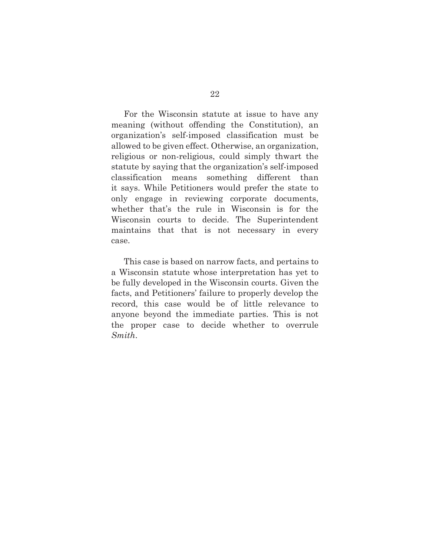For the Wisconsin statute at issue to have any meaning (without offending the Constitution), an organization's self-imposed classification must be allowed to be given effect. Otherwise, an organization, religious or non-religious, could simply thwart the statute by saying that the organization's self-imposed classification means something different than it says. While Petitioners would prefer the state to only engage in reviewing corporate documents, whether that's the rule in Wisconsin is for the Wisconsin courts to decide. The Superintendent maintains that that is not necessary in every case.

 This case is based on narrow facts, and pertains to a Wisconsin statute whose interpretation has yet to be fully developed in the Wisconsin courts. Given the facts, and Petitioners' failure to properly develop the record, this case would be of little relevance to anyone beyond the immediate parties. This is not the proper case to decide whether to overrule *Smith*.